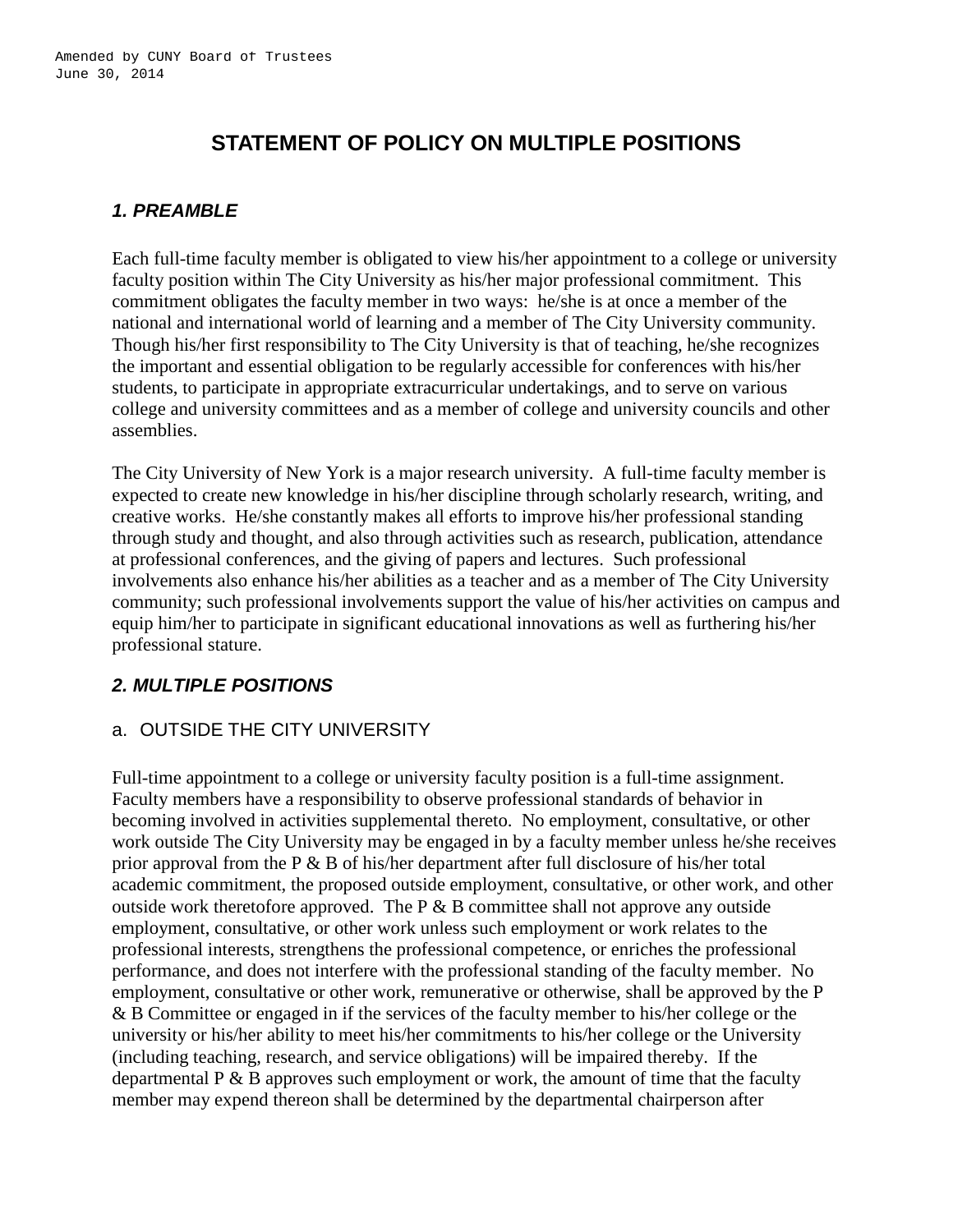# **STATEMENT OF POLICY ON MULTIPLE POSITIONS**

### *1. PREAMBLE*

Each full-time faculty member is obligated to view his/her appointment to a college or university faculty position within The City University as his/her major professional commitment. This commitment obligates the faculty member in two ways: he/she is at once a member of the national and international world of learning and a member of The City University community. Though his/her first responsibility to The City University is that of teaching, he/she recognizes the important and essential obligation to be regularly accessible for conferences with his/her students, to participate in appropriate extracurricular undertakings, and to serve on various college and university committees and as a member of college and university councils and other assemblies.

The City University of New York is a major research university. A full-time faculty member is expected to create new knowledge in his/her discipline through scholarly research, writing, and creative works. He/she constantly makes all efforts to improve his/her professional standing through study and thought, and also through activities such as research, publication, attendance at professional conferences, and the giving of papers and lectures. Such professional involvements also enhance his/her abilities as a teacher and as a member of The City University community; such professional involvements support the value of his/her activities on campus and equip him/her to participate in significant educational innovations as well as furthering his/her professional stature.

#### *2. MULTIPLE POSITIONS*

#### a. OUTSIDE THE CITY UNIVERSITY

Full-time appointment to a college or university faculty position is a full-time assignment. Faculty members have a responsibility to observe professional standards of behavior in becoming involved in activities supplemental thereto. No employment, consultative, or other work outside The City University may be engaged in by a faculty member unless he/she receives prior approval from the P & B of his/her department after full disclosure of his/her total academic commitment, the proposed outside employment, consultative, or other work, and other outside work theretofore approved. The  $P \& B$  committee shall not approve any outside employment, consultative, or other work unless such employment or work relates to the professional interests, strengthens the professional competence, or enriches the professional performance, and does not interfere with the professional standing of the faculty member. No employment, consultative or other work, remunerative or otherwise, shall be approved by the P & B Committee or engaged in if the services of the faculty member to his/her college or the university or his/her ability to meet his/her commitments to his/her college or the University (including teaching, research, and service obligations) will be impaired thereby. If the departmental  $P \& B$  approves such employment or work, the amount of time that the faculty member may expend thereon shall be determined by the departmental chairperson after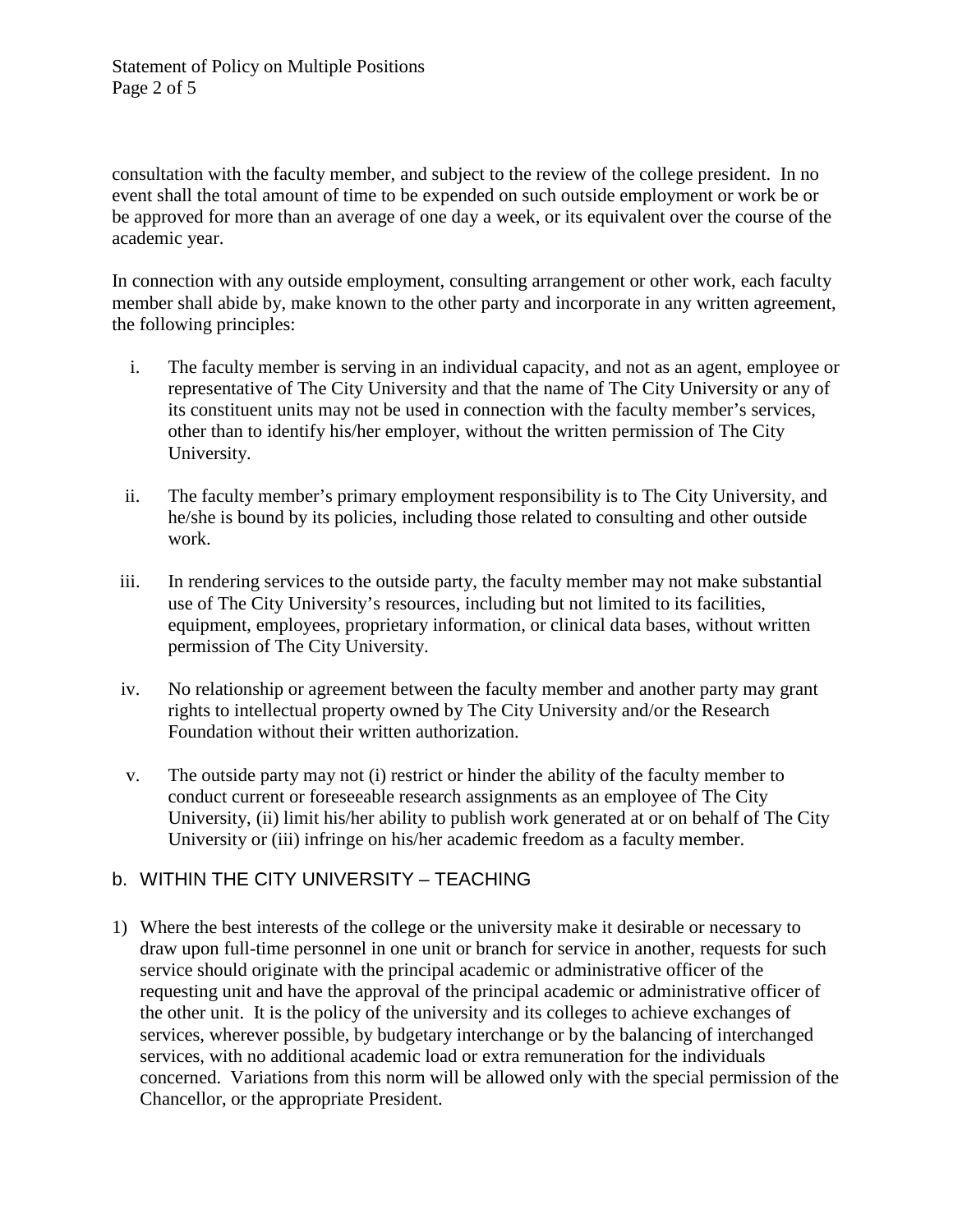consultation with the faculty member, and subject to the review of the college president. In no event shall the total amount of time to be expended on such outside employment or work be or be approved for more than an average of one day a week, or its equivalent over the course of the academic year.

In connection with any outside employment, consulting arrangement or other work, each faculty member shall abide by, make known to the other party and incorporate in any written agreement, the following principles:

- i. The faculty member is serving in an individual capacity, and not as an agent, employee or representative of The City University and that the name of The City University or any of its constituent units may not be used in connection with the faculty member's services, other than to identify his/her employer, without the written permission of The City University.
- ii. The faculty member's primary employment responsibility is to The City University, and he/she is bound by its policies, including those related to consulting and other outside work.
- iii. In rendering services to the outside party, the faculty member may not make substantial use of The City University's resources, including but not limited to its facilities, equipment, employees, proprietary information, or clinical data bases, without written permission of The City University.
- iv. No relationship or agreement between the faculty member and another party may grant rights to intellectual property owned by The City University and/or the Research Foundation without their written authorization.
- v. The outside party may not (i) restrict or hinder the ability of the faculty member to conduct current or foreseeable research assignments as an employee of The City University, (ii) limit his/her ability to publish work generated at or on behalf of The City University or (iii) infringe on his/her academic freedom as a faculty member.

# b. WITHIN THE CITY UNIVERSITY – TEACHING

1) Where the best interests of the college or the university make it desirable or necessary to draw upon full-time personnel in one unit or branch for service in another, requests for such service should originate with the principal academic or administrative officer of the requesting unit and have the approval of the principal academic or administrative officer of the other unit. It is the policy of the university and its colleges to achieve exchanges of services, wherever possible, by budgetary interchange or by the balancing of interchanged services, with no additional academic load or extra remuneration for the individuals concerned. Variations from this norm will be allowed only with the special permission of the Chancellor, or the appropriate President.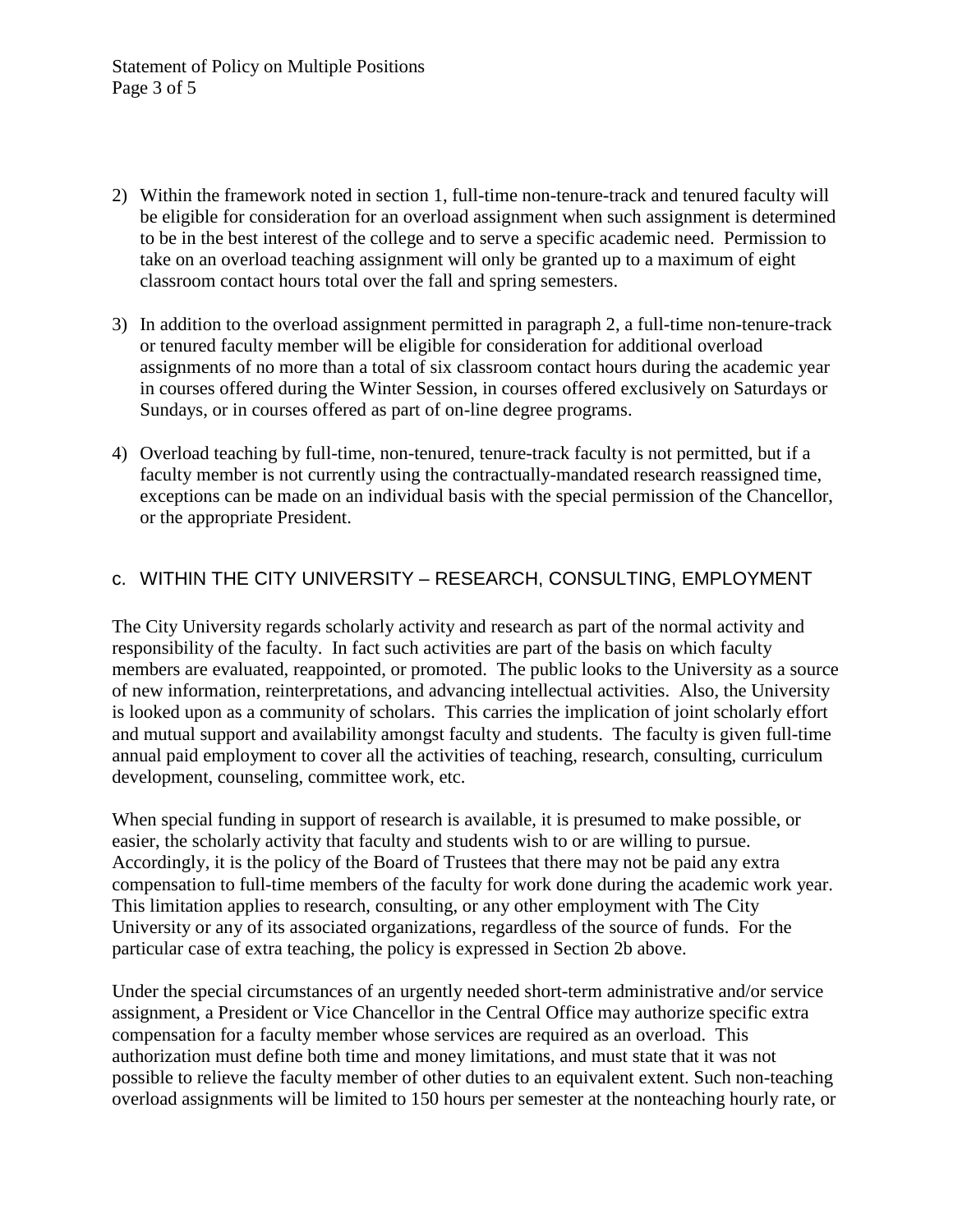- 2) Within the framework noted in section 1, full-time non-tenure-track and tenured faculty will be eligible for consideration for an overload assignment when such assignment is determined to be in the best interest of the college and to serve a specific academic need. Permission to take on an overload teaching assignment will only be granted up to a maximum of eight classroom contact hours total over the fall and spring semesters.
- 3) In addition to the overload assignment permitted in paragraph 2, a full-time non-tenure-track or tenured faculty member will be eligible for consideration for additional overload assignments of no more than a total of six classroom contact hours during the academic year in courses offered during the Winter Session, in courses offered exclusively on Saturdays or Sundays, or in courses offered as part of on-line degree programs.
- 4) Overload teaching by full-time, non-tenured, tenure-track faculty is not permitted, but if a faculty member is not currently using the contractually-mandated research reassigned time, exceptions can be made on an individual basis with the special permission of the Chancellor, or the appropriate President.

#### c. WITHIN THE CITY UNIVERSITY – RESEARCH, CONSULTING, EMPLOYMENT

The City University regards scholarly activity and research as part of the normal activity and responsibility of the faculty. In fact such activities are part of the basis on which faculty members are evaluated, reappointed, or promoted. The public looks to the University as a source of new information, reinterpretations, and advancing intellectual activities. Also, the University is looked upon as a community of scholars. This carries the implication of joint scholarly effort and mutual support and availability amongst faculty and students. The faculty is given full-time annual paid employment to cover all the activities of teaching, research, consulting, curriculum development, counseling, committee work, etc.

When special funding in support of research is available, it is presumed to make possible, or easier, the scholarly activity that faculty and students wish to or are willing to pursue. Accordingly, it is the policy of the Board of Trustees that there may not be paid any extra compensation to full-time members of the faculty for work done during the academic work year. This limitation applies to research, consulting, or any other employment with The City University or any of its associated organizations, regardless of the source of funds. For the particular case of extra teaching, the policy is expressed in Section 2b above.

Under the special circumstances of an urgently needed short-term administrative and/or service assignment, a President or Vice Chancellor in the Central Office may authorize specific extra compensation for a faculty member whose services are required as an overload. This authorization must define both time and money limitations, and must state that it was not possible to relieve the faculty member of other duties to an equivalent extent. Such non-teaching overload assignments will be limited to 150 hours per semester at the nonteaching hourly rate, or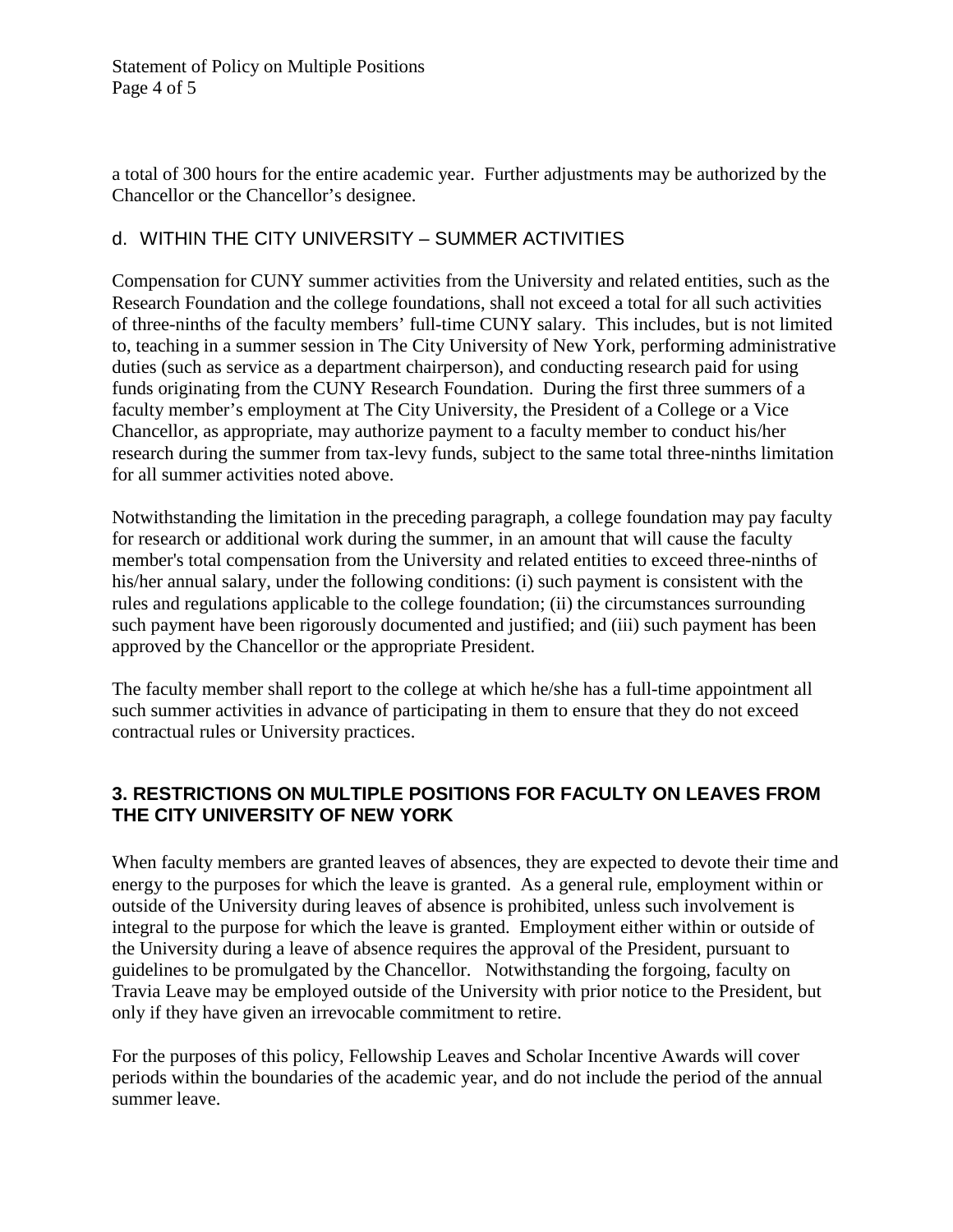Statement of Policy on Multiple Positions Page 4 of 5

a total of 300 hours for the entire academic year. Further adjustments may be authorized by the Chancellor or the Chancellor's designee.

#### d. WITHIN THE CITY UNIVERSITY – SUMMER ACTIVITIES

Compensation for CUNY summer activities from the University and related entities, such as the Research Foundation and the college foundations, shall not exceed a total for all such activities of three-ninths of the faculty members' full-time CUNY salary. This includes, but is not limited to, teaching in a summer session in The City University of New York, performing administrative duties (such as service as a department chairperson), and conducting research paid for using funds originating from the CUNY Research Foundation. During the first three summers of a faculty member's employment at The City University, the President of a College or a Vice Chancellor, as appropriate, may authorize payment to a faculty member to conduct his/her research during the summer from tax-levy funds, subject to the same total three-ninths limitation for all summer activities noted above.

Notwithstanding the limitation in the preceding paragraph, a college foundation may pay faculty for research or additional work during the summer, in an amount that will cause the faculty member's total compensation from the University and related entities to exceed three-ninths of his/her annual salary, under the following conditions: (i) such payment is consistent with the rules and regulations applicable to the college foundation; (ii) the circumstances surrounding such payment have been rigorously documented and justified; and (iii) such payment has been approved by the Chancellor or the appropriate President.

The faculty member shall report to the college at which he/she has a full-time appointment all such summer activities in advance of participating in them to ensure that they do not exceed contractual rules or University practices.

#### **3. RESTRICTIONS ON MULTIPLE POSITIONS FOR FACULTY ON LEAVES FROM THE CITY UNIVERSITY OF NEW YORK**

When faculty members are granted leaves of absences, they are expected to devote their time and energy to the purposes for which the leave is granted. As a general rule, employment within or outside of the University during leaves of absence is prohibited, unless such involvement is integral to the purpose for which the leave is granted. Employment either within or outside of the University during a leave of absence requires the approval of the President, pursuant to guidelines to be promulgated by the Chancellor. Notwithstanding the forgoing, faculty on Travia Leave may be employed outside of the University with prior notice to the President, but only if they have given an irrevocable commitment to retire.

For the purposes of this policy, Fellowship Leaves and Scholar Incentive Awards will cover periods within the boundaries of the academic year, and do not include the period of the annual summer leave.